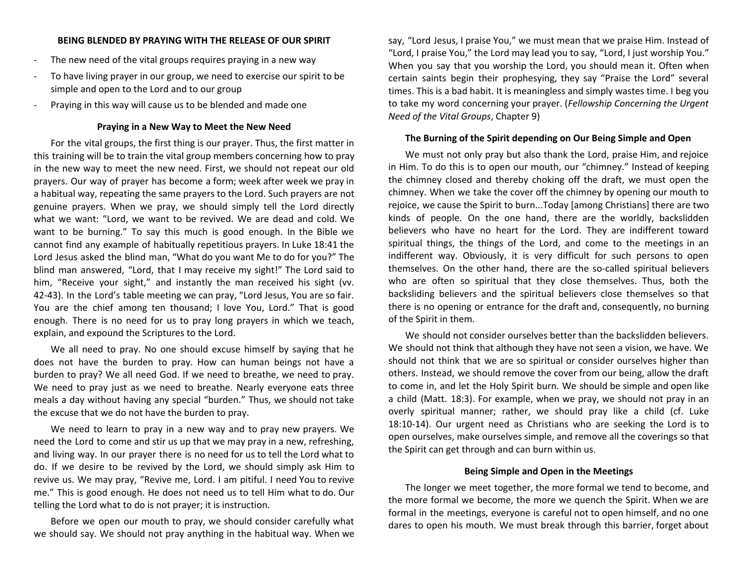# **BEING BLENDED BY PRAYING WITH THE RELEASE OF OUR SPIRIT**

- The new need of the vital groups requires praying in a new way
- To have living prayer in our group, we need to exercise our spirit to be simple and open to the Lord and to our group
- Praying in this way will cause us to be blended and made one

## **Praying in a New Way to Meet the New Need**

For the vital groups, the first thing is our prayer. Thus, the first matter in this training will be to train the vital group members concerning how to pray in the new way to meet the new need. First, we should not repeat our old prayers. Our way of prayer has become a form; week after week we pray in a habitual way, repeating the same prayers to the Lord. Such prayers are not genuine prayers. When we pray, we should simply tell the Lord directly what we want: "Lord, we want to be revived. We are dead and cold. We want to be burning." To say this much is good enough. In the Bible we cannot find any example of habitually repetitious prayers. In Luke 18:41 the Lord Jesus asked the blind man, "What do you want Me to do for you?" The blind man answered, "Lord, that I may receive my sight!" The Lord said to him, "Receive your sight," and instantly the man received his sight (vv. 42-43). In the Lord's table meeting we can pray, "Lord Jesus, You are so fair. You are the chief among ten thousand; I love You, Lord." That is good enough. There is no need for us to pray long prayers in which we teach, explain, and expound the Scriptures to the Lord.

We all need to pray. No one should excuse himself by saying that he does not have the burden to pray. How can human beings not have a burden to pray? We all need God. If we need to breathe, we need to pray. We need to pray just as we need to breathe. Nearly everyone eats three meals a day without having any special "burden." Thus, we should not take the excuse that we do not have the burden to pray.

We need to learn to pray in a new way and to pray new prayers. We need the Lord to come and stir us up that we may pray in a new, refreshing, and living way. In our prayer there is no need for us to tell the Lord what to do. If we desire to be revived by the Lord, we should simply ask Him to revive us. We may pray, "Revive me, Lord. I am pitiful. I need You to revive me." This is good enough. He does not need us to tell Him what to do. Our telling the Lord what to do is not prayer; it is instruction.

Before we open our mouth to pray, we should consider carefully what we should say. We should not pray anything in the habitual way. When we say, "Lord Jesus, I praise You," we must mean that we praise Him. Instead of "Lord, I praise You," the Lord may lead you to say, "Lord, I just worship You." When you say that you worship the Lord, you should mean it. Often when certain saints begin their prophesying, they say "Praise the Lord" several times. This is a bad habit. It is meaningless and simply wastes time. I beg you to take my word concerning your prayer. (*Fellowship Concerning the Urgent Need of the Vital Groups*, Chapter 9)

#### **The Burning of the Spirit depending on Our Being Simple and Open**

We must not only pray but also thank the Lord, praise Him, and rejoice in Him. To do this is to open our mouth, our "chimney." Instead of keeping the chimney closed and thereby choking off the draft, we must open the chimney. When we take the cover off the chimney by opening our mouth to rejoice, we cause the Spirit to burn...Today [among Christians] there are two kinds of people. On the one hand, there are the worldly, backslidden believers who have no heart for the Lord. They are indifferent toward spiritual things, the things of the Lord, and come to the meetings in an indifferent way. Obviously, it is very difficult for such persons to open themselves. On the other hand, there are the so-called spiritual believers who are often so spiritual that they close themselves. Thus, both the backsliding believers and the spiritual believers close themselves so that there is no opening or entrance for the draft and, consequently, no burning of the Spirit in them.

We should not consider ourselves better than the backslidden believers. We should not think that although they have not seen a vision, we have. We should not think that we are so spiritual or consider ourselves higher than others. Instead, we should remove the cover from our being, allow the draft to come in, and let the Holy Spirit burn. We should be simple and open like a child (Matt. 18:3). For example, when we pray, we should not pray in an overly spiritual manner; rather, we should pray like a child (cf. Luke 18:10-14). Our urgent need as Christians who are seeking the Lord is to open ourselves, make ourselves simple, and remove all the coverings so that the Spirit can get through and can burn within us.

# **Being Simple and Open in the Meetings**

The longer we meet together, the more formal we tend to become, and the more formal we become, the more we quench the Spirit. When we are formal in the meetings, everyone is careful not to open himself, and no one dares to open his mouth. We must break through this barrier, forget about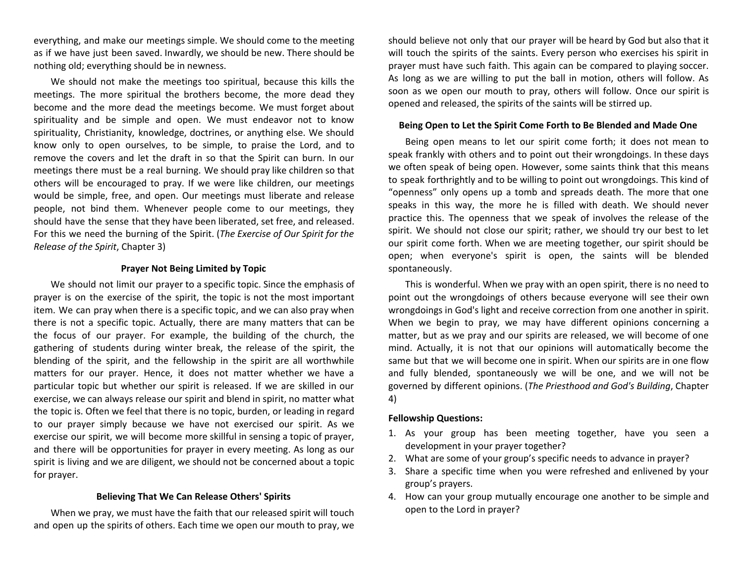everything, and make our meetings simple. We should come to the meeting as if we have just been saved. Inwardly, we should be new. There should be nothing old; everything should be in newness.

We should not make the meetings too spiritual, because this kills the meetings. The more spiritual the brothers become, the more dead they become and the more dead the meetings become. We must forget about spirituality and be simple and open. We must endeavor not to know spirituality, Christianity, knowledge, doctrines, or anything else. We should know only to open ourselves, to be simple, to praise the Lord, and to remove the covers and let the draft in so that the Spirit can burn. In our meetings there must be a real burning. We should pray like children so that others will be encouraged to pray. If we were like children, our meetings would be simple, free, and open. Our meetings must liberate and release people, not bind them. Whenever people come to our meetings, they should have the sense that they have been liberated, set free, and released. For this we need the burning of the Spirit. (*The Exercise of Our Spirit for the Release of the Spirit*, Chapter 3)

#### **Prayer Not Being Limited by Topic**

We should not limit our prayer to a specific topic. Since the emphasis of prayer is on the exercise of the spirit, the topic is not the most important item. We can pray when there is a specific topic, and we can also pray when there is not a specific topic. Actually, there are many matters that can be the focus of our prayer. For example, the building of the church, the gathering of students during winter break, the release of the spirit, the blending of the spirit, and the fellowship in the spirit are all worthwhile matters for our prayer. Hence, it does not matter whether we have a particular topic but whether our spirit is released. If we are skilled in our exercise, we can always release our spirit and blend in spirit, no matter what the topic is. Often we feel that there is no topic, burden, or leading in regard to our prayer simply because we have not exercised our spirit. As we exercise our spirit, we will become more skillful in sensing a topic of prayer, and there will be opportunities for prayer in every meeting. As long as our spirit is living and we are diligent, we should not be concerned about a topic for prayer.

# **Believing That We Can Release Others' Spirits**

When we pray, we must have the faith that our released spirit will touch and open up the spirits of others. Each time we open our mouth to pray, we should believe not only that our prayer will be heard by God but also that it will touch the spirits of the saints. Every person who exercises his spirit in prayer must have such faith. This again can be compared to playing soccer. As long as we are willing to put the ball in motion, others will follow. As soon as we open our mouth to pray, others will follow. Once our spirit is opened and released, the spirits of the saints will be stirred up.

### **Being Open to Let the Spirit Come Forth to Be Blended and Made One**

Being open means to let our spirit come forth; it does not mean to speak frankly with others and to point out their wrongdoings. In these days we often speak of being open. However, some saints think that this means to speak forthrightly and to be willing to point out wrongdoings. This kind of "openness" only opens up a tomb and spreads death. The more that one speaks in this way, the more he is filled with death. We should never practice this. The openness that we speak of involves the release of the spirit. We should not close our spirit; rather, we should try our best to let our spirit come forth. When we are meeting together, our spirit should be open; when everyone's spirit is open, the saints will be blended spontaneously.

This is wonderful. When we pray with an open spirit, there is no need to point out the wrongdoings of others because everyone will see their own wrongdoings in God's light and receive correction from one another in spirit. When we begin to pray, we may have different opinions concerning a matter, but as we pray and our spirits are released, we will become of one mind. Actually, it is not that our opinions will automatically become the same but that we will become one in spirit. When our spirits are in one flow and fully blended, spontaneously we will be one, and we will not be governed by different opinions. (*The Priesthood and God's Building*, Chapter 4)

## **Fellowship Questions:**

- 1. As your group has been meeting together, have you seen a development in your prayer together?
- 2. What are some of your group's specific needs to advance in prayer?
- 3. Share a specific time when you were refreshed and enlivened by your group's prayers.
- 4. How can your group mutually encourage one another to be simple and open to the Lord in prayer?